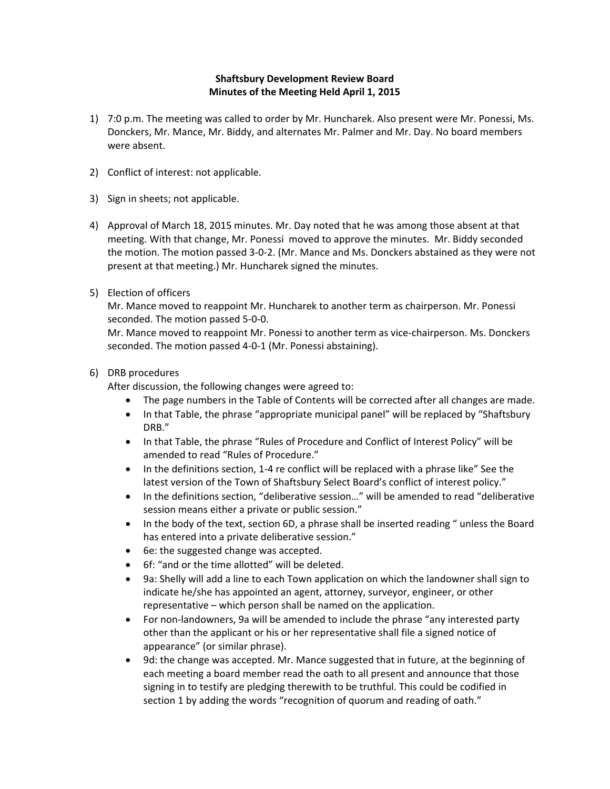## **Shaftsbury Development Review Board Minutes of the Meeting Held April 1, 2015**

- 1) 7:0 p.m. The meeting was called to order by Mr. Huncharek. Also present were Mr. Ponessi, Ms. Donckers, Mr. Mance, Mr. Biddy, and alternates Mr. Palmer and Mr. Day. No board members were absent.
- 2) Conflict of interest: not applicable.
- 3) Sign in sheets; not applicable.
- 4) Approval of March 18, 2015 minutes. Mr. Day noted that he was among those absent at that meeting. With that change, Mr. Ponessi moved to approve the minutes. Mr. Biddy seconded the motion. The motion passed 3‐0‐2. (Mr. Mance and Ms. Donckers abstained as they were not present at that meeting.) Mr. Huncharek signed the minutes.
- 5) Election of officers

Mr. Mance moved to reappoint Mr. Huncharek to another term as chairperson. Mr. Ponessi seconded. The motion passed 5‐0‐0.

Mr. Mance moved to reappoint Mr. Ponessi to another term as vice-chairperson. Ms. Donckers seconded. The motion passed 4‐0‐1 (Mr. Ponessi abstaining).

## 6) DRB procedures

After discussion, the following changes were agreed to:

- The page numbers in the Table of Contents will be corrected after all changes are made.
- In that Table, the phrase "appropriate municipal panel" will be replaced by "Shaftsbury DRB."
- In that Table, the phrase "Rules of Procedure and Conflict of Interest Policy" will be amended to read "Rules of Procedure."
- In the definitions section, 1-4 re conflict will be replaced with a phrase like" See the latest version of the Town of Shaftsbury Select Board's conflict of interest policy."
- In the definitions section, "deliberative session…" will be amended to read "deliberative session means either a private or public session."
- In the body of the text, section 6D, a phrase shall be inserted reading " unless the Board has entered into a private deliberative session."
- 6e: the suggested change was accepted.
- 6f: "and or the time allotted" will be deleted.
- 9a: Shelly will add a line to each Town application on which the landowner shall sign to indicate he/she has appointed an agent, attorney, surveyor, engineer, or other representative – which person shall be named on the application.
- For non‐landowners, 9a will be amended to include the phrase "any interested party other than the applicant or his or her representative shall file a signed notice of appearance" (or similar phrase).
- 9d: the change was accepted. Mr. Mance suggested that in future, at the beginning of each meeting a board member read the oath to all present and announce that those signing in to testify are pledging therewith to be truthful. This could be codified in section 1 by adding the words "recognition of quorum and reading of oath."